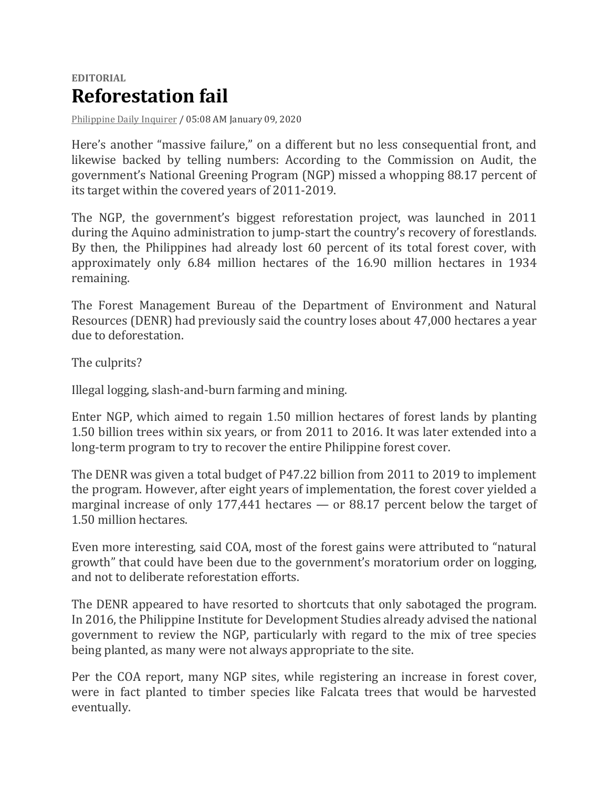## **EDITORIAL Reforestation fail**

[Philippine](https://opinion.inquirer.net/source/philippine-daily-inquirer) Daily Inquirer / 05:08 AM January 09, 2020

Here's another "massive failure," on a different but no less consequential front, and likewise backed by telling numbers: According to the Commission on Audit, the government's National Greening Program (NGP) missed a whopping 88.17 percent of its target within the covered years of 2011-2019.

The NGP, the government's biggest reforestation project, was launched in 2011 during the Aquino administration to jump-start the country's recovery of forestlands. By then, the Philippines had already lost 60 percent of its total forest cover, with approximately only 6.84 million hectares of the 16.90 million hectares in 1934 remaining.

The Forest Management Bureau of the Department of Environment and Natural Resources (DENR) had previously said the country loses about 47,000 hectares a year due to deforestation.

The culprits?

Illegal logging, slash-and-burn farming and mining.

Enter NGP, which aimed to regain 1.50 million hectares of forest lands by planting 1.50 billion trees within six years, or from 2011 to 2016. It was later extended into a long-term program to try to recover the entire Philippine forest cover.

The DENR was given a total budget of P47.22 billion from 2011 to 2019 to implement the program. However, after eight years of implementation, the forest cover yielded a marginal increase of only 177,441 hectares — or 88.17 percent below the target of 1.50 million hectares.

Even more interesting, said COA, most of the forest gains were attributed to "natural growth" that could have been due to the government's moratorium order on logging, and not to deliberate reforestation efforts.

The DENR appeared to have resorted to shortcuts that only sabotaged the program. In 2016, the Philippine Institute for Development Studies already advised the national government to review the NGP, particularly with regard to the mix of tree species being planted, as many were not always appropriate to the site.

Per the COA report, many NGP sites, while registering an increase in forest cover, were in fact planted to timber species like Falcata trees that would be harvested eventually.